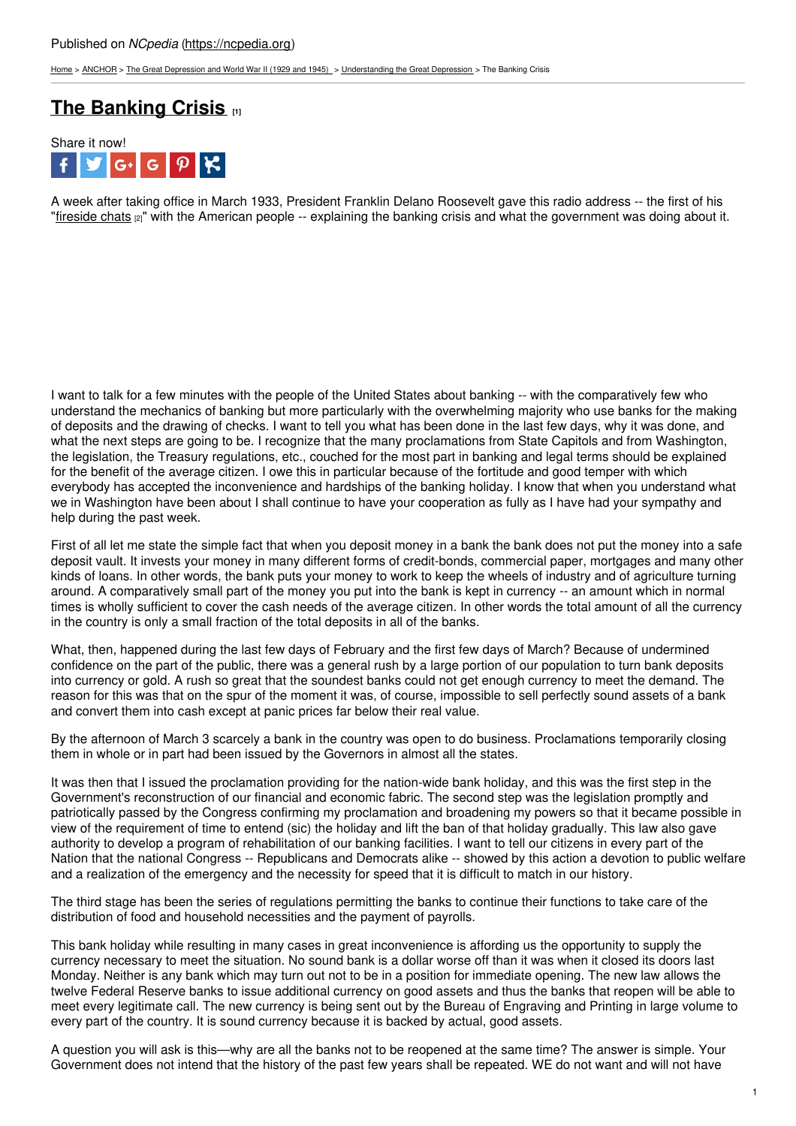## Published on *NCpedia* [\(https://ncpedia.org](https://ncpedia.org))

[Home](https://ncpedia.org/) > [ANCHOR](https://ncpedia.org/anchor/anchor) > The Great [Depression](https://ncpedia.org/anchor/great-depression-and-world) and World War II (1929 and 1945) > [Understanding](https://ncpedia.org/anchor/understanding-great) the Great Depression > The Banking Crisis

## **The [Banking](https://ncpedia.org/anchor/banking-crisis) Crisis [1]**



A week after taking office in March 1933, President Franklin Delano Roosevelt gave this radio address -- the first of his ["fireside](https://www.ncpedia.org/media/audio/banking-crisis-fdrs) chats [2]" with the American people -- explaining the banking crisis and what the government was doing about it.

I want to talk for a few minutes with the people of the United States about banking -- with the comparatively few who understand the mechanics of banking but more particularly with the overwhelming majority who use banks for the making of deposits and the drawing of checks. I want to tell you what has been done in the last few days, why it was done, and what the next steps are going to be. I recognize that the many proclamations from State Capitols and from Washington, the legislation, the Treasury regulations, etc., couched for the most part in banking and legal terms should be explained for the benefit of the average citizen. I owe this in particular because of the fortitude and good temper with which everybody has accepted the inconvenience and hardships of the banking holiday. I know that when you understand what we in Washington have been about I shall continue to have your cooperation as fully as I have had your sympathy and help during the past week.

First of all let me state the simple fact that when you deposit money in a bank the bank does not put the money into a safe deposit vault. It invests your money in many different forms of credit-bonds, commercial paper, mortgages and many other kinds of loans. In other words, the bank puts your money to work to keep the wheels of industry and of agriculture turning around. A comparatively small part of the money you put into the bank is kept in currency -- an amount which in normal times is wholly sufficient to cover the cash needs of the average citizen. In other words the total amount of all the currency in the country is only a small fraction of the total deposits in all of the banks.

What, then, happened during the last few days of February and the first few days of March? Because of undermined confidence on the part of the public, there was a general rush by a large portion of our population to turn bank deposits into currency or gold. A rush so great that the soundest banks could not get enough currency to meet the demand. The reason for this was that on the spur of the moment it was, of course, impossible to sell perfectly sound assets of a bank and convert them into cash except at panic prices far below their real value.

By the afternoon of March 3 scarcely a bank in the country was open to do business. Proclamations temporarily closing them in whole or in part had been issued by the Governors in almost all the states.

It was then that I issued the proclamation providing for the nation-wide bank holiday, and this was the first step in the Government's reconstruction of our financial and economic fabric. The second step was the legislation promptly and patriotically passed by the Congress confirming my proclamation and broadening my powers so that it became possible in view of the requirement of time to entend (sic) the holiday and lift the ban of that holiday gradually. This law also gave authority to develop a program of rehabilitation of our banking facilities. I want to tell our citizens in every part of the Nation that the national Congress -- Republicans and Democrats alike -- showed by this action a devotion to public welfare and a realization of the emergency and the necessity for speed that it is difficult to match in our history.

The third stage has been the series of regulations permitting the banks to continue their functions to take care of the distribution of food and household necessities and the payment of payrolls.

This bank holiday while resulting in many cases in great inconvenience is affording us the opportunity to supply the currency necessary to meet the situation. No sound bank is a dollar worse off than it was when it closed its doors last Monday. Neither is any bank which may turn out not to be in a position for immediate opening. The new law allows the twelve Federal Reserve banks to issue additional currency on good assets and thus the banks that reopen will be able to meet every legitimate call. The new currency is being sent out by the Bureau of Engraving and Printing in large volume to every part of the country. It is sound currency because it is backed by actual, good assets.

A question you will ask is this—why are all the banks not to be reopened at the same time? The answer is simple. Your Government does not intend that the history of the past few years shall be repeated. WE do not want and will not have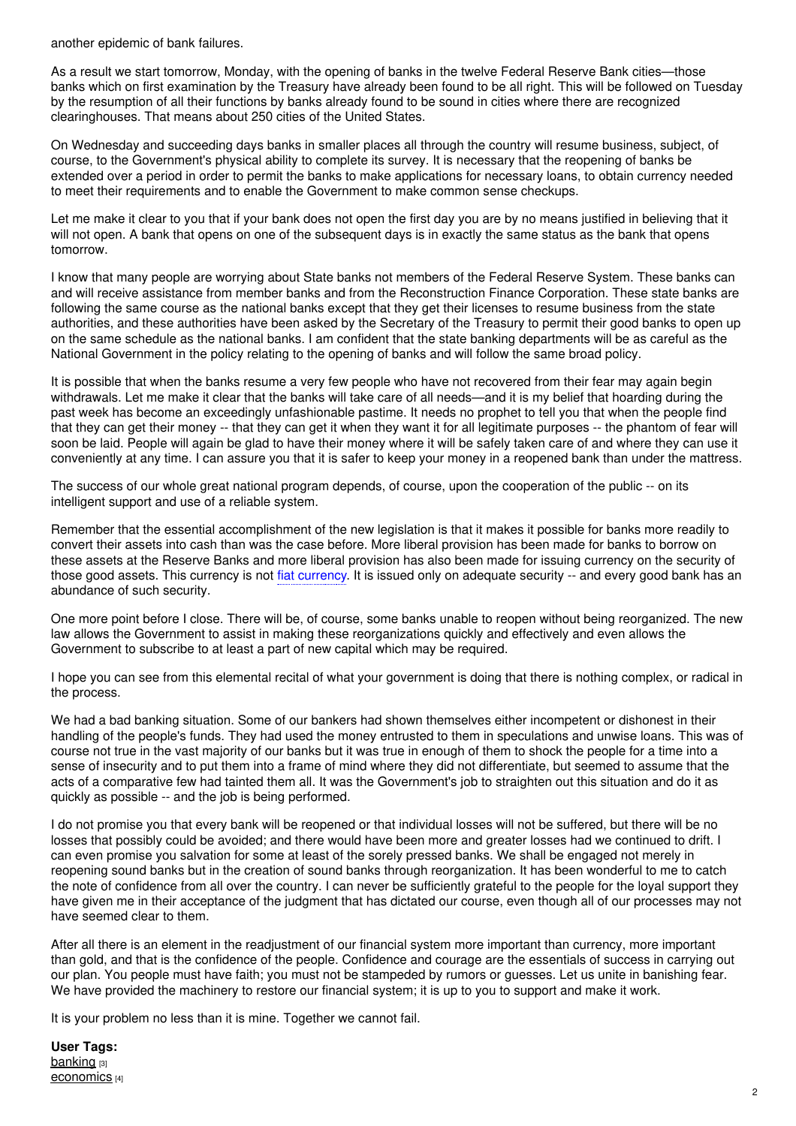another epidemic of bank failures.

As a result we start tomorrow, Monday, with the opening of banks in the twelve Federal Reserve Bank cities—those banks which on first examination by the Treasury have already been found to be all right. This will be followed on Tuesday by the resumption of all their functions by banks already found to be sound in cities where there are recognized clearinghouses. That means about 250 cities of the United States.

On Wednesday and succeeding days banks in smaller places all through the country will resume business, subject, of course, to the Government's physical ability to complete its survey. It is necessary that the reopening of banks be extended over a period in order to permit the banks to make applications for necessary loans, to obtain currency needed to meet their requirements and to enable the Government to make common sense checkups.

Let me make it clear to you that if your bank does not open the first day you are by no means justified in believing that it will not open. A bank that opens on one of the subsequent days is in exactly the same status as the bank that opens tomorrow.

I know that many people are worrying about State banks not members of the Federal Reserve System. These banks can and will receive assistance from member banks and from the Reconstruction Finance Corporation. These state banks are following the same course as the national banks except that they get their licenses to resume business from the state authorities, and these authorities have been asked by the Secretary of the Treasury to permit their good banks to open up on the same schedule as the national banks. I am confident that the state banking departments will be as careful as the National Government in the policy relating to the opening of banks and will follow the same broad policy.

It is possible that when the banks resume a very few people who have not recovered from their fear may again begin withdrawals. Let me make it clear that the banks will take care of all needs—and it is my belief that hoarding during the past week has become an exceedingly unfashionable pastime. It needs no prophet to tell you that when the people find that they can get their money -- that they can get it when they want it for all legitimate purposes -- the phantom of fear will soon be laid. People will again be glad to have their money where it will be safely taken care of and where they can use it conveniently at any time. I can assure you that it is safer to keep your money in a reopened bank than under the mattress.

The success of our whole great national program depends, of course, upon the cooperation of the public -- on its intelligent support and use of a reliable system.

Remember that the essential accomplishment of the new legislation is that it makes it possible for banks more readily to convert their assets into cash than was the case before. More liberal provision has been made for banks to borrow on these assets at the Reserve Banks and more liberal provision has also been made for issuing currency on the security of those good assets. This currency is not fiat currency. It is issued only on adequate security -- and every good bank has an abundance of such security.

One more point before I close. There will be, of course, some banks unable to reopen without being reorganized. The new law allows the Government to assist in making these reorganizations quickly and effectively and even allows the Government to subscribe to at least a part of new capital which may be required.

I hope you can see from this elemental recital of what your government is doing that there is nothing complex, or radical in the process.

We had a bad banking situation. Some of our bankers had shown themselves either incompetent or dishonest in their handling of the people's funds. They had used the money entrusted to them in speculations and unwise loans. This was of course not true in the vast majority of our banks but it was true in enough of them to shock the people for a time into a sense of insecurity and to put them into a frame of mind where they did not differentiate, but seemed to assume that the acts of a comparative few had tainted them all. It was the Government's job to straighten out this situation and do it as quickly as possible -- and the job is being performed.

I do not promise you that every bank will be reopened or that individual losses will not be suffered, but there will be no losses that possibly could be avoided; and there would have been more and greater losses had we continued to drift. I can even promise you salvation for some at least of the sorely pressed banks. We shall be engaged not merely in reopening sound banks but in the creation of sound banks through reorganization. It has been wonderful to me to catch the note of confidence from all over the country. I can never be sufficiently grateful to the people for the loyal support they have given me in their acceptance of the judgment that has dictated our course, even though all of our processes may not have seemed clear to them.

After all there is an element in the readjustment of our financial system more important than currency, more important than gold, and that is the confidence of the people. Confidence and courage are the essentials of success in carrying out our plan. You people must have faith; you must not be stampeded by rumors or guesses. Let us unite in banishing fear. We have provided the machinery to restore our financial system; it is up to you to support and make it work.

It is your problem no less than it is mine. Together we cannot fail.

**User Tags:** [banking](https://ncpedia.org/category/user-tags/banking) [3] [economics](https://ncpedia.org/category/user-tags/economics) [4]